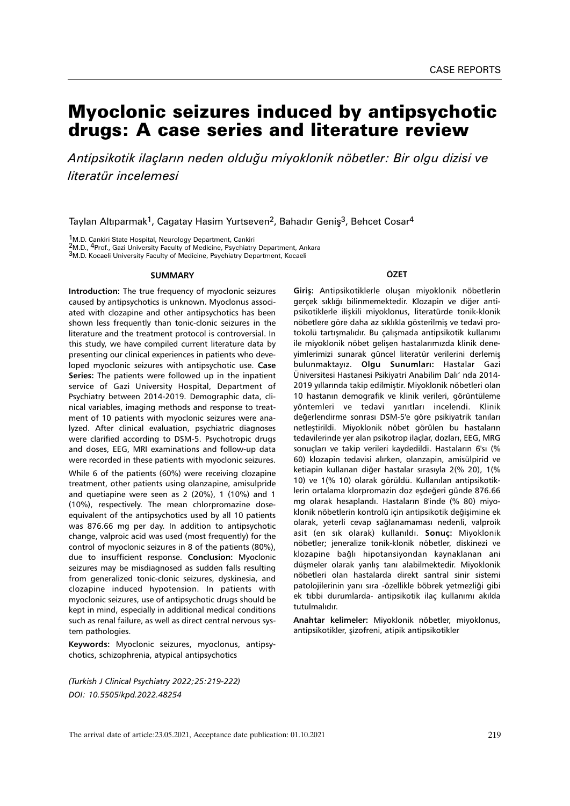# Myoclonic seizures induced by antipsychotic drugs: A case series and literature review

*Antipsikotik ilaçların neden olduğu miyoklonik nöbetler: Bir olgu dizisi ve literatür incelemesi*

Taylan Altıparmak<sup>1</sup>, Cagatay Hasim Yurtseven<sup>2</sup>, Bahadır Geniş<sup>3</sup>, Behcet Cosar<sup>4</sup>

1M.D. Cankiri State Hospital, Neurology Department, Cankiri

2M.D., 4Prof., Gazi University Faculty of Medicine, Psychiatry Department, Ankara

3M.D. Kocaeli University Faculty of Medicine, Psychiatry Department, Kocaeli

#### **SUMMARY**

**Introduction:** The true frequency of myoclonic seizures caused by antipsychotics is unknown. Myoclonus associated with clozapine and other antipsychotics has been shown less frequently than tonic-clonic seizures in the literature and the treatment protocol is controversial. In this study, we have compiled current literature data by presenting our clinical experiences in patients who developed myoclonic seizures with antipsychotic use. **Case Series:** The patients were followed up in the inpatient service of Gazi University Hospital, Department of Psychiatry between 2014-2019. Demographic data, clinical variables, imaging methods and response to treatment of 10 patients with myoclonic seizures were analyzed. After clinical evaluation, psychiatric diagnoses were clarified according to DSM-5. Psychotropic drugs and doses, EEG, MRI examinations and follow-up data were recorded in these patients with myoclonic seizures. While 6 of the patients (60%) were receiving clozapine treatment, other patients using olanzapine, amisulpride and quetiapine were seen as 2 (20%), 1 (10%) and 1 (10%), respectively. The mean chlorpromazine doseequivalent of the antipsychotics used by all 10 patients was 876.66 mg per day. In addition to antipsychotic change, valproic acid was used (most frequently) for the control of myoclonic seizures in 8 of the patients (80%), due to insufficient response. **Conclusion:** Myoclonic seizures may be misdiagnosed as sudden falls resulting from generalized tonic-clonic seizures, dyskinesia, and clozapine induced hypotension. In patients with myoclonic seizures, use of antipsychotic drugs should be kept in mind, especially in additional medical conditions such as renal failure, as well as direct central nervous system pathologies.

**Keywords:** Myoclonic seizures, myoclonus, antipsychotics, schizophrenia, atypical antipsychotics

*(Turkish J Clinical Psychiatry 2022;25:219-222) DOI: 10.5505/kpd.2022.48254*

# **ÖZET**

**Giriş:** Antipsikotiklerle oluşan miyoklonik nöbetlerin gerçek sıklığı bilinmemektedir. Klozapin ve diğer antipsikotiklerle ilişkili miyoklonus, literatürde tonik-klonik nöbetlere göre daha az sıklıkla gösterilmiş ve tedavi protokolü tartışmalıdır. Bu çalışmada antipsikotik kullanımı ile miyoklonik nöbet gelişen hastalarımızda klinik deneyimlerimizi sunarak güncel literatür verilerini derlemiş bulunmaktayız. **Olgu Sunumları:** Hastalar Gazi Üniversitesi Hastanesi Psikiyatri Anabilim Dalı' nda 2014- 2019 yıllarında takip edilmiştir. Miyoklonik nöbetleri olan 10 hastanın demografik ve klinik verileri, görüntüleme yöntemleri ve tedavi yanıtları incelendi. Klinik değerlendirme sonrası DSM-5'e göre psikiyatrik tanıları netleştirildi. Miyoklonik nöbet görülen bu hastaların tedavilerinde yer alan psikotrop ilaçlar, dozları, EEG, MRG sonuçları ve takip verileri kaydedildi. Hastaların 6'sı (% 60) klozapin tedavisi alırken, olanzapin, amisülpirid ve ketiapin kullanan diğer hastalar sırasıyla 2(% 20), 1(% 10) ve 1(% 10) olarak görüldü. Kullanılan antipsikotiklerin ortalama klorpromazin doz eşdeğeri günde 876.66 mg olarak hesaplandı. Hastaların 8'inde (% 80) miyoklonik nöbetlerin kontrolü için antipsikotik değişimine ek olarak, yeterli cevap sağlanamaması nedenli, valproik asit (en sık olarak) kullanıldı. **Sonuç:** Miyoklonik nöbetler; jeneralize tonik-klonik nöbetler, diskinezi ve klozapine bağlı hipotansiyondan kaynaklanan ani düşmeler olarak yanlış tanı alabilmektedir. Miyoklonik nöbetleri olan hastalarda direkt santral sinir sistemi patolojilerinin yanı sıra -özellikle böbrek yetmezliği gibi ek tıbbi durumlarda- antipsikotik ilaç kullanımı akılda tutulmalıdır.

**Anahtar kelimeler:** Miyoklonik nöbetler, miyoklonus, antipsikotikler, şizofreni, atipik antipsikotikler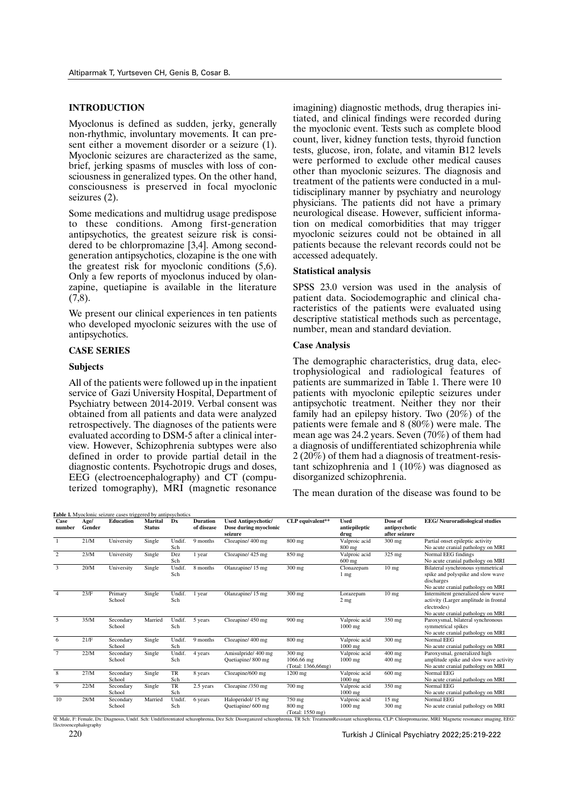## **INTRODUCTION**

Myoclonus is defined as sudden, jerky, generally non-rhythmic, involuntary movements. It can present either a movement disorder or a seizure (1). Myoclonic seizures are characterized as the same, brief, jerking spasms of muscles with loss of consciousness in generalized types. On the other hand, consciousness is preserved in focal myoclonic seizures (2).

Some medications and multidrug usage predispose to these conditions. Among first-generation antipsychotics, the greatest seizure risk is considered to be chlorpromazine [3,4]. Among secondgeneration antipsychotics, clozapine is the one with the greatest risk for myoclonic conditions (5,6). Only a few reports of myoclonus induced by olanzapine, quetiapine is available in the literature  $(7,8)$ .

We present our clinical experiences in ten patients who developed myoclonic seizures with the use of antipsychotics.

## **CASE SERIES**

#### **Subjects**

All of the patients were followed up in the inpatient service of Gazi University Hospital, Department of Psychiatry between 2014-2019. Verbal consent was obtained from all patients and data were analyzed retrospectively. The diagnoses of the patients were evaluated according to DSM-5 after a clinical interview. However, Schizophrenia subtypes were also defined in order to provide partial detail in the diagnostic contents. Psychotropic drugs and doses, EEG (electroencephalography) and CT (computerized tomography), MRI (magnetic resonance

imagining) diagnostic methods, drug therapies initiated, and clinical findings were recorded during the myoclonic event. Tests such as complete blood count, liver, kidney function tests, thyroid function tests, glucose, iron, folate, and vitamin B12 levels were performed to exclude other medical causes other than myoclonic seizures. The diagnosis and treatment of the patients were conducted in a multidisciplinary manner by psychiatry and neurology physicians. The patients did not have a primary neurological disease. However, sufficient information on medical comorbidities that may trigger myoclonic seizures could not be obtained in all patients because the relevant records could not be accessed adequately.

## **Statistical analysis**

SPSS 23.0 version was used in the analysis of patient data. Sociodemographic and clinical characteristics of the patients were evaluated using descriptive statistical methods such as percentage, number, mean and standard deviation.

#### **Case Analysis**

The demographic characteristics, drug data, electrophysiological and radiological features of patients are summarized in Table 1. There were 10 patients with myoclonic epileptic seizures under antipsychotic treatment. Neither they nor their family had an epilepsy history. Two  $(20\%)$  of the patients were female and 8 (80%) were male. The mean age was 24.2 years. Seven (70%) of them had a diagnosis of undifferentiated schizophrenia while 2 (20%) of them had a diagnosis of treatment-resistant schizophrenia and 1 (10%) was diagnosed as disorganized schizophrenia.

The mean duration of the disease was found to be

| Case<br>number                                                                                                                                                                                                                 | Age/<br>Gender | <b>Education</b>    | <b>Marital</b><br><b>Status</b> | Dx               | <b>Duration</b><br>of disease | <b>Used Antipsychotic/</b><br>Dose during myoclonic<br>seizure | CLP equivalent**                             | <b>Used</b><br>antiepileptic<br>drug | Dose of<br>antipsychotic<br>after seizure | <b>EEG/</b> Neuroradiological studies                                                                                           |
|--------------------------------------------------------------------------------------------------------------------------------------------------------------------------------------------------------------------------------|----------------|---------------------|---------------------------------|------------------|-------------------------------|----------------------------------------------------------------|----------------------------------------------|--------------------------------------|-------------------------------------------|---------------------------------------------------------------------------------------------------------------------------------|
| $\overline{1}$                                                                                                                                                                                                                 | 21/M           | University          | Single                          | Undif.<br>Sch    | 9 months                      | Clozapine/400 mg                                               | $800$ mg                                     | Valproic acid<br>800 mg              | $300$ mg                                  | Partial onset epileptic activity<br>No acute cranial pathology on MRI                                                           |
| 2                                                                                                                                                                                                                              | 23/M           | University          | Single                          | Dez<br>Sch       | 1 year                        | Clozapine/425 mg                                               | 850 mg                                       | Valproic acid<br>$600$ mg            | 325 mg                                    | Normal EEG findings<br>No acute cranial pathology on MRI                                                                        |
| 3                                                                                                                                                                                                                              | 20/M           | University          | Single                          | Undif.<br>Sch    | 8 months                      | Olanzapine/15 mg                                               | 300 mg                                       | Clonazepam<br>1 mg                   | 10 <sub>mg</sub>                          | Bilateral synchronous symmetrical<br>spike and polyspike and slow wave<br>discharges<br>No acute cranial pathology on MRI       |
| $\overline{4}$                                                                                                                                                                                                                 | 23/F           | Primary<br>School   | Single                          | Undif.<br>Sch    | 1 year                        | Olanzapine/15 mg                                               | $300$ mg                                     | Lorazepam<br>2 <sub>mg</sub>         | 10 <sub>mg</sub>                          | Intermittent generalized slow wave<br>activity (Larger amplitude in frontal<br>electrodes)<br>No acute cranial pathology on MRI |
| 5                                                                                                                                                                                                                              | 35/M           | Secondary<br>School | Married                         | Undif.<br>Sch    | 5 years                       | Clozapine/450 mg                                               | 900 mg                                       | Valproic acid<br>1000 mg             | 350 mg                                    | Paroxysmal, bilateral synchronous<br>symmetrical spikes<br>No acute cranial pathology on MRI                                    |
| 6                                                                                                                                                                                                                              | 21/F           | Secondary<br>School | Single                          | Undif.<br>Sch    | 9 months                      | Clozapine/400 mg                                               | 800 mg                                       | Valproic acid<br>$1000$ mg           | 300 mg                                    | Normal EEG<br>No acute cranial pathology on MRI                                                                                 |
| $7\phantom{.0}$                                                                                                                                                                                                                | 22/M           | Secondary<br>School | Single                          | Undif.<br>Sch    | 4 years                       | Amisulpride/400 mg<br>Quetiapine/800 mg                        | $300$ mg<br>1066.66 mg<br>(Total: 1366,66mg) | Valproic acid<br>$1000$ mg           | $400$ mg<br>$400$ mg                      | Paroxysmal, generalized high<br>amplitude spike and slow wave activity<br>No acute cranial pathology on MRI                     |
| 8                                                                                                                                                                                                                              | 27/M           | Secondary<br>School | Single                          | TR<br>Sch        | 8 years                       | Clozapine/600 mg                                               | $1200$ mg                                    | Valproic acid<br>1000 mg             | $600$ mg                                  | Normal EEG<br>No acute cranial pathology on MRI                                                                                 |
| 9                                                                                                                                                                                                                              | 22/M           | Secondary<br>School | Single                          | <b>TR</b><br>Sch | 2.5 years                     | Clozapine /350 mg                                              | 700 mg                                       | Valproic acid<br>$1000$ mg           | 350 mg                                    | Normal EEG<br>No acute cranial pathology on MRI                                                                                 |
| 10<br>M: Male, F: Female, Dx: Diagnosis, Undif. Sch: Undifferentiated schizophrenia, Dez Sch: Disorganized schizophrenia, TR Sch: TreatmentResistant schizophrenia, CLP: Chlorpromazine, MRI: Magnetic resonance imaging, EEG: | 28/M           | Secondary<br>School | Married                         | Undif.<br>Sch    | 6 years                       | Haloperidol/15 mg<br>Quetiapine/ 600 mg                        | 750 mg<br>800 mg<br>(Total: 1550 mg)         | Valproic acid<br>$1000$ mg           | 15 <sub>mg</sub><br>$300$ mg              | Normal EEG<br>No acute cranial pathology on MRI                                                                                 |

etroencephalography

Turkish J Clinical Psychiatry 2022;25:219-222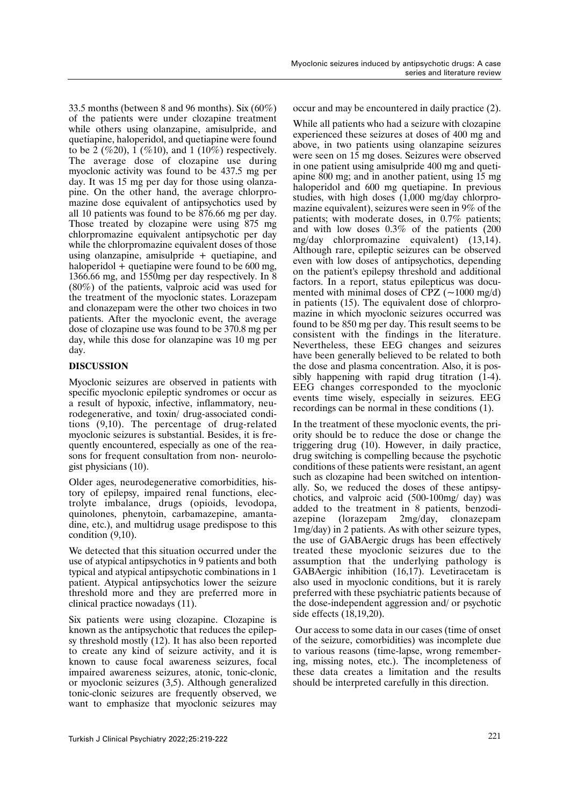33.5 months (between 8 and 96 months). Six (60%) of the patients were under clozapine treatment while others using olanzapine, amisulpride, and quetiapine, haloperidol, and quetiapine were found to be 2 (%20), 1 (%10), and 1 (10%) respectively. The average dose of clozapine use during myoclonic activity was found to be 437.5 mg per day. It was 15 mg per day for those using olanzapine. On the other hand, the average chlorpromazine dose equivalent of antipsychotics used by all 10 patients was found to be 876.66 mg per day. Those treated by clozapine were using 875 mg chlorpromazine equivalent antipsychotic per day while the chlorpromazine equivalent doses of those using olanzapine, amisulpride + quetiapine, and haloperidol + quetiapine were found to be 600 mg, 1366.66 mg, and 1550mg per day respectively. In 8 (80%) of the patients, valproic acid was used for the treatment of the myoclonic states. Lorazepam and clonazepam were the other two choices in two patients. After the myoclonic event, the average dose of clozapine use was found to be 370.8 mg per day, while this dose for olanzapine was 10 mg per day.

## **DISCUSSION**

Myoclonic seizures are observed in patients with specific myoclonic epileptic syndromes or occur as a result of hypoxic, infective, inflammatory, neurodegenerative, and toxin/ drug-associated conditions (9,10). The percentage of drug-related myoclonic seizures is substantial. Besides, it is frequently encountered, especially as one of the reasons for frequent consultation from non- neurologist physicians (10).

Older ages, neurodegenerative comorbidities, history of epilepsy, impaired renal functions, electrolyte imbalance, drugs (opioids, levodopa, quinolones, phenytoin, carbamazepine, amantadine, etc.), and multidrug usage predispose to this condition (9,10).

We detected that this situation occurred under the use of atypical antipsychotics in 9 patients and both typical and atypical antipsychotic combinations in 1 patient. Atypical antipsychotics lower the seizure threshold more and they are preferred more in clinical practice nowadays (11).

Six patients were using clozapine. Clozapine is known as the antipsychotic that reduces the epilepsy threshold mostly (12). It has also been reported to create any kind of seizure activity, and it is known to cause focal awareness seizures, focal impaired awareness seizures, atonic, tonic-clonic, or myoclonic seizures (3,5). Although generalized tonic-clonic seizures are frequently observed, we want to emphasize that myoclonic seizures may occur and may be encountered in daily practice (2).

While all patients who had a seizure with clozapine experienced these seizures at doses of 400 mg and above, in two patients using olanzapine seizures were seen on 15 mg doses. Seizures were observed in one patient using amisulpride 400 mg and quetiapine 800 mg; and in another patient, using 15 mg haloperidol and 600 mg quetiapine. In previous studies, with high doses (1,000 mg/day chlorpromazine equivalent), seizures were seen in 9% of the patients; with moderate doses, in 0.7% patients; and with low doses 0.3% of the patients (200 mg/day chlorpromazine equivalent) (13,14). Although rare, epileptic seizures can be observed even with low doses of antipsychotics, depending on the patient's epilepsy threshold and additional factors. In a report, status epilepticus was documented with minimal doses of CPZ  $(-1000 \text{ mg/d})$ in patients (15). The equivalent dose of chlorpromazine in which myoclonic seizures occurred was found to be 850 mg per day. This result seems to be consistent with the findings in the literature. Nevertheless, these EEG changes and seizures have been generally believed to be related to both the dose and plasma concentration. Also, it is possibly happening with rapid drug titration (1-4). EEG changes corresponded to the myoclonic events time wisely, especially in seizures. EEG recordings can be normal in these conditions (1).

In the treatment of these myoclonic events, the priority should be to reduce the dose or change the triggering drug (10). However, in daily practice, drug switching is compelling because the psychotic conditions of these patients were resistant, an agent such as clozapine had been switched on intentionally. So, we reduced the doses of these antipsychotics, and valproic acid (500-100mg/ day) was added to the treatment in 8 patients, benzodiazepine (lorazepam 2mg/day, clonazepam 1mg/day) in 2 patients. As with other seizure types, the use of GABAergic drugs has been effectively treated these myoclonic seizures due to the assumption that the underlying pathology is GABAergic inhibition (16,17). Levetiracetam is also used in myoclonic conditions, but it is rarely preferred with these psychiatric patients because of the dose-independent aggression and/ or psychotic side effects (18,19,20).

 Our access to some data in our cases (time of onset of the seizure, comorbidities) was incomplete due to various reasons (time-lapse, wrong remembering, missing notes, etc.). The incompleteness of these data creates a limitation and the results should be interpreted carefully in this direction.